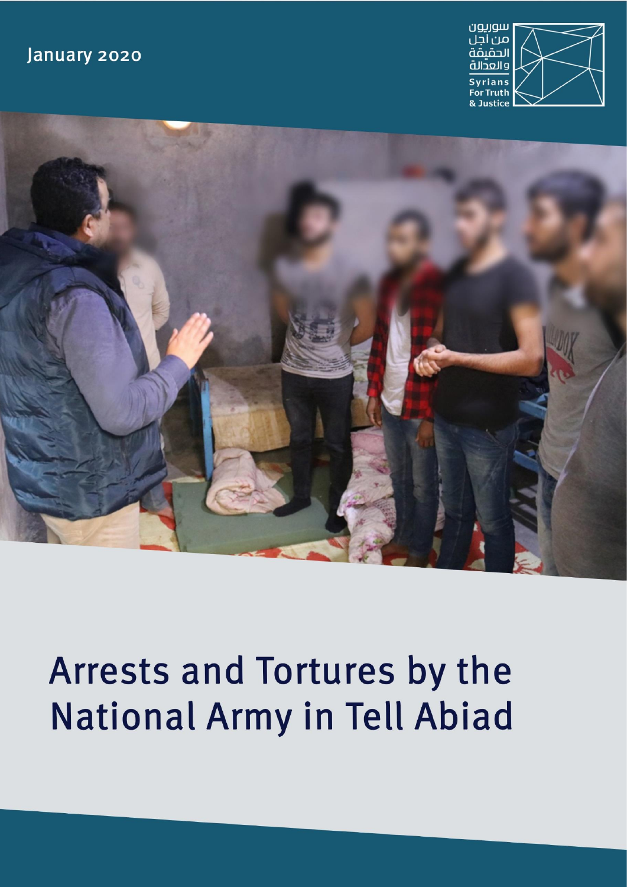### January 2020





# Arrests and Tortures by the National Army in Tell Abiad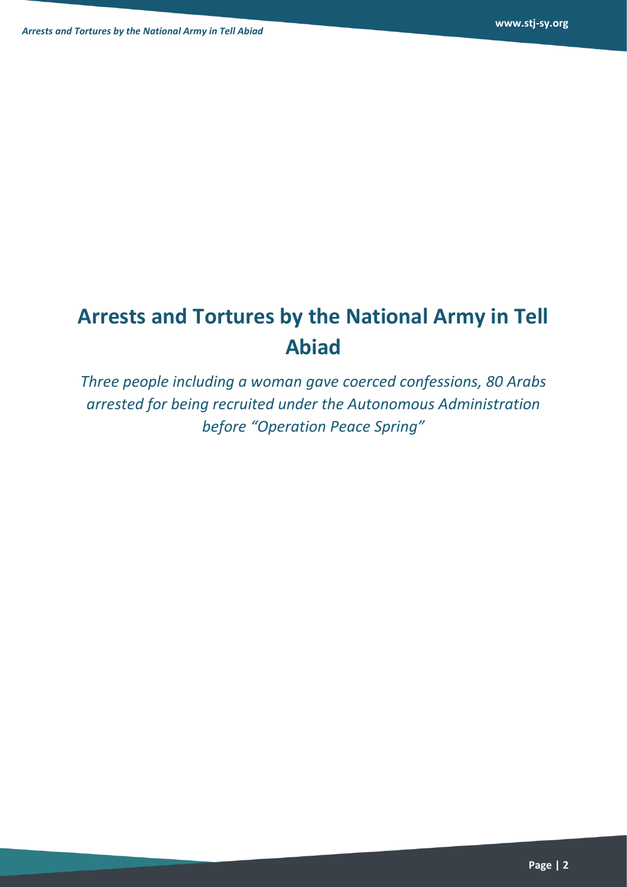# **Arrests and Tortures by the National Army in Tell Abiad**

*Three people including a woman gave coerced confessions, 80 Arabs arrested for being recruited under the Autonomous Administration before "Operation Peace Spring"*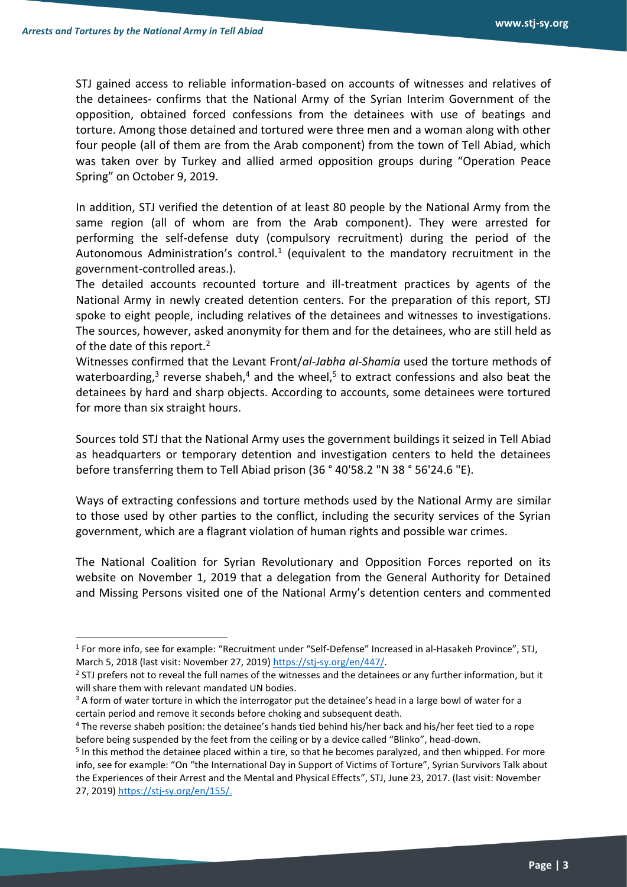STJ gained access to reliable information-based on accounts of witnesses and relatives of the detainees- confirms that the National Army of the Syrian Interim Government of the opposition, obtained forced confessions from the detainees with use of beatings and torture. Among those detained and tortured were three men and a woman along with other four people (all of them are from the Arab component) from the town of Tell Abiad, which was taken over by Turkey and allied armed opposition groups during "Operation Peace Spring" on October 9, 2019.

In addition, STJ verified the detention of at least 80 people by the National Army from the same region (all of whom are from the Arab component). They were arrested for performing the self-defense duty (compulsory recruitment) during the period of the Autonomous Administration's control.<sup>1</sup> (equivalent to the mandatory recruitment in the government-controlled areas.).

The detailed accounts recounted torture and ill-treatment practices by agents of the National Army in newly created detention centers. For the preparation of this report, STJ spoke to eight people, including relatives of the detainees and witnesses to investigations. The sources, however, asked anonymity for them and for the detainees, who are still held as of the date of this report.<sup>2</sup>

Witnesses confirmed that the Levant Front/*al-Jabha al-Shamia* used the torture methods of waterboarding,<sup>3</sup> reverse shabeh,<sup>4</sup> and the wheel,<sup>5</sup> to extract confessions and also beat the detainees by hard and sharp objects. According to accounts, some detainees were tortured for more than six straight hours.

Sources told STJ that the National Army uses the government buildings it seized in Tell Abiad as headquarters or temporary detention and investigation centers to held the detainees before transferring them to Tell Abiad prison (36 ° 40'58.2 "N 38 ° 56'24.6 "E).

Ways of extracting confessions and torture methods used by the National Army are similar to those used by other parties to the conflict, including the security services of the Syrian government, which are a flagrant violation of human rights and possible war crimes.

The National Coalition for Syrian Revolutionary and Opposition Forces reported on its website on November 1, 2019 that a delegation from the General Authority for Detained and Missing Persons visited one of the National Army's detention centers and commented

<sup>&</sup>lt;sup>1</sup> For more info, see for example: "Recruitment under "Self-Defense" Increased in al-Hasakeh Province", STJ, March 5, 2018 (last visit: November 27, 2019[\) https://stj-sy.org/en/447/.](https://stj-sy.org/en/447/)

 $2$  STJ prefers not to reveal the full names of the witnesses and the detainees or any further information, but it will share them with relevant mandated UN bodies.

<sup>&</sup>lt;sup>3</sup> A form of water torture in which the interrogator put the detainee's head in a large bowl of water for a certain period and remove it seconds before choking and subsequent death.

<sup>4</sup> The reverse shabeh position: the detainee's hands tied behind his/her back and his/her feet tied to a rope before being suspended by the feet from the ceiling or by a device called "Blinko", head-down.

<sup>&</sup>lt;sup>5</sup> In this method the detainee placed within a tire, so that he becomes paralyzed, and then whipped. For more info, see for example: "On "the International Day in Support of Victims of Torture", Syrian Survivors Talk about the Experiences of their Arrest and the Mental and Physical Effects", STJ, June 23, 2017. (last visit: November 27, 2019[\) https://stj-sy.org/en/155/.](https://stj-sy.org/en/155/)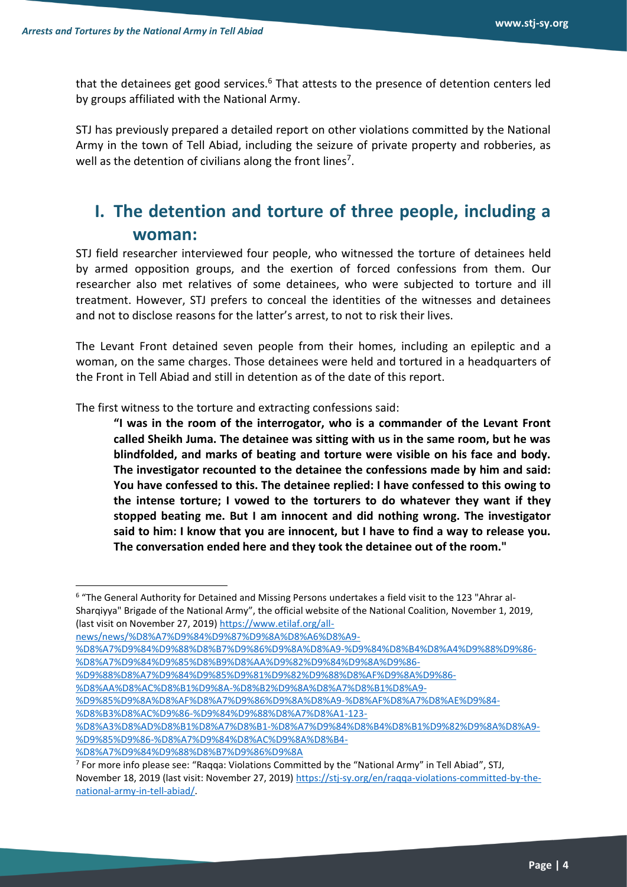that the detainees get good services. $6$  That attests to the presence of detention centers led by groups affiliated with the National Army.

STJ has previously prepared a detailed report on other violations committed by the National Army in the town of Tell Abiad, including the seizure of private property and robberies, as well as the detention of civilians along the front lines<sup>7</sup>.

#### **I. The detention and torture of three people, including a woman:**

STJ field researcher interviewed four people, who witnessed the torture of detainees held by armed opposition groups, and the exertion of forced confessions from them. Our researcher also met relatives of some detainees, who were subjected to torture and ill treatment. However, STJ prefers to conceal the identities of the witnesses and detainees and not to disclose reasons for the latter's arrest, to not to risk their lives.

The Levant Front detained seven people from their homes, including an epileptic and a woman, on the same charges. Those detainees were held and tortured in a headquarters of the Front in Tell Abiad and still in detention as of the date of this report.

The first witness to the torture and extracting confessions said :

**"I was in the room of the interrogator, who is a commander of the Levant Front called Sheikh Juma. The detainee was sitting with us in the same room, but he was blindfolded, and marks of beating and torture were visible on his face and body. The investigator recounted to the detainee the confessions made by him and said: You have confessed to this. The detainee replied: I have confessed to this owing to the intense torture; I vowed to the torturers to do whatever they want if they stopped beating me. But I am innocent and did nothing wrong. The investigator said to him: I know that you are innocent, but I have to find a way to release you. The conversation ended here and they took the detainee out of the room."**

- [%D9%88%D8%A7%D9%84%D9%85%D9%81%D9%82%D9%88%D8%AF%D9%8A%D9%86-](https://www.etilaf.org/all-news/news/%D8%A7%D9%84%D9%87%D9%8A%D8%A6%D8%A9-%D8%A7%D9%84%D9%88%D8%B7%D9%86%D9%8A%D8%A9-%D9%84%D8%B4%D8%A4%D9%88%D9%86-%D8%A7%D9%84%D9%85%D8%B9%D8%AA%D9%82%D9%84%D9%8A%D9%86-%D9%88%D8%A7%D9%84%D9%85%D9%81%D9%82%D9%88%D8%AF%D9%8A%D9%86-%D8%AA%D8%AC%D8%B1%D9%8A-%D8%B2%D9%8A%D8%A7%D8%B1%D8%A9-%D9%85%D9%8A%D8%AF%D8%A7%D9%86%D9%8A%D8%A9-%D8%AF%D8%A7%D8%AE%D9%84-%D8%B3%D8%AC%D9%86-%D9%84%D9%88%D8%A7%D8%A1-123-%D8%A3%D8%AD%D8%B1%D8%A7%D8%B1-%D8%A7%D9%84%D8%B4%D8%B1%D9%82%D9%8A%D8%A9-%D9%85%D9%86-%D8%A7%D9%84%D8%AC%D9%8A%D8%B4-%D8%A7%D9%84%D9%88%D8%B7%D9%86%D9%8A)
- [%D8%AA%D8%AC%D8%B1%D9%8A-%D8%B2%D9%8A%D8%A7%D8%B1%D8%A9-](https://www.etilaf.org/all-news/news/%D8%A7%D9%84%D9%87%D9%8A%D8%A6%D8%A9-%D8%A7%D9%84%D9%88%D8%B7%D9%86%D9%8A%D8%A9-%D9%84%D8%B4%D8%A4%D9%88%D9%86-%D8%A7%D9%84%D9%85%D8%B9%D8%AA%D9%82%D9%84%D9%8A%D9%86-%D9%88%D8%A7%D9%84%D9%85%D9%81%D9%82%D9%88%D8%AF%D9%8A%D9%86-%D8%AA%D8%AC%D8%B1%D9%8A-%D8%B2%D9%8A%D8%A7%D8%B1%D8%A9-%D9%85%D9%8A%D8%AF%D8%A7%D9%86%D9%8A%D8%A9-%D8%AF%D8%A7%D8%AE%D9%84-%D8%B3%D8%AC%D9%86-%D9%84%D9%88%D8%A7%D8%A1-123-%D8%A3%D8%AD%D8%B1%D8%A7%D8%B1-%D8%A7%D9%84%D8%B4%D8%B1%D9%82%D9%8A%D8%A9-%D9%85%D9%86-%D8%A7%D9%84%D8%AC%D9%8A%D8%B4-%D8%A7%D9%84%D9%88%D8%B7%D9%86%D9%8A)

[%D8%A3%D8%AD%D8%B1%D8%A7%D8%B1-%D8%A7%D9%84%D8%B4%D8%B1%D9%82%D9%8A%D8%A9-](https://www.etilaf.org/all-news/news/%D8%A7%D9%84%D9%87%D9%8A%D8%A6%D8%A9-%D8%A7%D9%84%D9%88%D8%B7%D9%86%D9%8A%D8%A9-%D9%84%D8%B4%D8%A4%D9%88%D9%86-%D8%A7%D9%84%D9%85%D8%B9%D8%AA%D9%82%D9%84%D9%8A%D9%86-%D9%88%D8%A7%D9%84%D9%85%D9%81%D9%82%D9%88%D8%AF%D9%8A%D9%86-%D8%AA%D8%AC%D8%B1%D9%8A-%D8%B2%D9%8A%D8%A7%D8%B1%D8%A9-%D9%85%D9%8A%D8%AF%D8%A7%D9%86%D9%8A%D8%A9-%D8%AF%D8%A7%D8%AE%D9%84-%D8%B3%D8%AC%D9%86-%D9%84%D9%88%D8%A7%D8%A1-123-%D8%A3%D8%AD%D8%B1%D8%A7%D8%B1-%D8%A7%D9%84%D8%B4%D8%B1%D9%82%D9%8A%D8%A9-%D9%85%D9%86-%D8%A7%D9%84%D8%AC%D9%8A%D8%B4-%D8%A7%D9%84%D9%88%D8%B7%D9%86%D9%8A) [%D9%85%D9%86-%D8%A7%D9%84%D8%AC%D9%8A%D8%B4-](https://www.etilaf.org/all-news/news/%D8%A7%D9%84%D9%87%D9%8A%D8%A6%D8%A9-%D8%A7%D9%84%D9%88%D8%B7%D9%86%D9%8A%D8%A9-%D9%84%D8%B4%D8%A4%D9%88%D9%86-%D8%A7%D9%84%D9%85%D8%B9%D8%AA%D9%82%D9%84%D9%8A%D9%86-%D9%88%D8%A7%D9%84%D9%85%D9%81%D9%82%D9%88%D8%AF%D9%8A%D9%86-%D8%AA%D8%AC%D8%B1%D9%8A-%D8%B2%D9%8A%D8%A7%D8%B1%D8%A9-%D9%85%D9%8A%D8%AF%D8%A7%D9%86%D9%8A%D8%A9-%D8%AF%D8%A7%D8%AE%D9%84-%D8%B3%D8%AC%D9%86-%D9%84%D9%88%D8%A7%D8%A1-123-%D8%A3%D8%AD%D8%B1%D8%A7%D8%B1-%D8%A7%D9%84%D8%B4%D8%B1%D9%82%D9%8A%D8%A9-%D9%85%D9%86-%D8%A7%D9%84%D8%AC%D9%8A%D8%B4-%D8%A7%D9%84%D9%88%D8%B7%D9%86%D9%8A)

<sup>6</sup> "The General Authority for Detained and Missing Persons undertakes a field visit to the 123 "Ahrar al-Sharqiyya" Brigade of the National Army", the official website of the National Coalition, November 1, 2019, (last visit on November 27, 2019[\) https://www.etilaf.org/all-](https://www.etilaf.org/all-news/news/%D8%A7%D9%84%D9%87%D9%8A%D8%A6%D8%A9-%D8%A7%D9%84%D9%88%D8%B7%D9%86%D9%8A%D8%A9-%D9%84%D8%B4%D8%A4%D9%88%D9%86-%D8%A7%D9%84%D9%85%D8%B9%D8%AA%D9%82%D9%84%D9%8A%D9%86-%D9%88%D8%A7%D9%84%D9%85%D9%81%D9%82%D9%88%D8%AF%D9%8A%D9%86-%D8%AA%D8%AC%D8%B1%D9%8A-%D8%B2%D9%8A%D8%A7%D8%B1%D8%A9-%D9%85%D9%8A%D8%AF%D8%A7%D9%86%D9%8A%D8%A9-%D8%AF%D8%A7%D8%AE%D9%84-%D8%B3%D8%AC%D9%86-%D9%84%D9%88%D8%A7%D8%A1-123-%D8%A3%D8%AD%D8%B1%D8%A7%D8%B1-%D8%A7%D9%84%D8%B4%D8%B1%D9%82%D9%8A%D8%A9-%D9%85%D9%86-%D8%A7%D9%84%D8%AC%D9%8A%D8%B4-%D8%A7%D9%84%D9%88%D8%B7%D9%86%D9%8A)

[news/news/%D8%A7%D9%84%D9%87%D9%8A%D8%A6%D8%A9-](https://www.etilaf.org/all-news/news/%D8%A7%D9%84%D9%87%D9%8A%D8%A6%D8%A9-%D8%A7%D9%84%D9%88%D8%B7%D9%86%D9%8A%D8%A9-%D9%84%D8%B4%D8%A4%D9%88%D9%86-%D8%A7%D9%84%D9%85%D8%B9%D8%AA%D9%82%D9%84%D9%8A%D9%86-%D9%88%D8%A7%D9%84%D9%85%D9%81%D9%82%D9%88%D8%AF%D9%8A%D9%86-%D8%AA%D8%AC%D8%B1%D9%8A-%D8%B2%D9%8A%D8%A7%D8%B1%D8%A9-%D9%85%D9%8A%D8%AF%D8%A7%D9%86%D9%8A%D8%A9-%D8%AF%D8%A7%D8%AE%D9%84-%D8%B3%D8%AC%D9%86-%D9%84%D9%88%D8%A7%D8%A1-123-%D8%A3%D8%AD%D8%B1%D8%A7%D8%B1-%D8%A7%D9%84%D8%B4%D8%B1%D9%82%D9%8A%D8%A9-%D9%85%D9%86-%D8%A7%D9%84%D8%AC%D9%8A%D8%B4-%D8%A7%D9%84%D9%88%D8%B7%D9%86%D9%8A)

[<sup>%</sup>D8%A7%D9%84%D9%88%D8%B7%D9%86%D9%8A%D8%A9-%D9%84%D8%B4%D8%A4%D9%88%D9%86-](https://www.etilaf.org/all-news/news/%D8%A7%D9%84%D9%87%D9%8A%D8%A6%D8%A9-%D8%A7%D9%84%D9%88%D8%B7%D9%86%D9%8A%D8%A9-%D9%84%D8%B4%D8%A4%D9%88%D9%86-%D8%A7%D9%84%D9%85%D8%B9%D8%AA%D9%82%D9%84%D9%8A%D9%86-%D9%88%D8%A7%D9%84%D9%85%D9%81%D9%82%D9%88%D8%AF%D9%8A%D9%86-%D8%AA%D8%AC%D8%B1%D9%8A-%D8%B2%D9%8A%D8%A7%D8%B1%D8%A9-%D9%85%D9%8A%D8%AF%D8%A7%D9%86%D9%8A%D8%A9-%D8%AF%D8%A7%D8%AE%D9%84-%D8%B3%D8%AC%D9%86-%D9%84%D9%88%D8%A7%D8%A1-123-%D8%A3%D8%AD%D8%B1%D8%A7%D8%B1-%D8%A7%D9%84%D8%B4%D8%B1%D9%82%D9%8A%D8%A9-%D9%85%D9%86-%D8%A7%D9%84%D8%AC%D9%8A%D8%B4-%D8%A7%D9%84%D9%88%D8%B7%D9%86%D9%8A) [%D8%A7%D9%84%D9%85%D8%B9%D8%AA%D9%82%D9%84%D9%8A%D9%86-](https://www.etilaf.org/all-news/news/%D8%A7%D9%84%D9%87%D9%8A%D8%A6%D8%A9-%D8%A7%D9%84%D9%88%D8%B7%D9%86%D9%8A%D8%A9-%D9%84%D8%B4%D8%A4%D9%88%D9%86-%D8%A7%D9%84%D9%85%D8%B9%D8%AA%D9%82%D9%84%D9%8A%D9%86-%D9%88%D8%A7%D9%84%D9%85%D9%81%D9%82%D9%88%D8%AF%D9%8A%D9%86-%D8%AA%D8%AC%D8%B1%D9%8A-%D8%B2%D9%8A%D8%A7%D8%B1%D8%A9-%D9%85%D9%8A%D8%AF%D8%A7%D9%86%D9%8A%D8%A9-%D8%AF%D8%A7%D8%AE%D9%84-%D8%B3%D8%AC%D9%86-%D9%84%D9%88%D8%A7%D8%A1-123-%D8%A3%D8%AD%D8%B1%D8%A7%D8%B1-%D8%A7%D9%84%D8%B4%D8%B1%D9%82%D9%8A%D8%A9-%D9%85%D9%86-%D8%A7%D9%84%D8%AC%D9%8A%D8%B4-%D8%A7%D9%84%D9%88%D8%B7%D9%86%D9%8A)

[<sup>%</sup>D9%85%D9%8A%D8%AF%D8%A7%D9%86%D9%8A%D8%A9-%D8%AF%D8%A7%D8%AE%D9%84-](https://www.etilaf.org/all-news/news/%D8%A7%D9%84%D9%87%D9%8A%D8%A6%D8%A9-%D8%A7%D9%84%D9%88%D8%B7%D9%86%D9%8A%D8%A9-%D9%84%D8%B4%D8%A4%D9%88%D9%86-%D8%A7%D9%84%D9%85%D8%B9%D8%AA%D9%82%D9%84%D9%8A%D9%86-%D9%88%D8%A7%D9%84%D9%85%D9%81%D9%82%D9%88%D8%AF%D9%8A%D9%86-%D8%AA%D8%AC%D8%B1%D9%8A-%D8%B2%D9%8A%D8%A7%D8%B1%D8%A9-%D9%85%D9%8A%D8%AF%D8%A7%D9%86%D9%8A%D8%A9-%D8%AF%D8%A7%D8%AE%D9%84-%D8%B3%D8%AC%D9%86-%D9%84%D9%88%D8%A7%D8%A1-123-%D8%A3%D8%AD%D8%B1%D8%A7%D8%B1-%D8%A7%D9%84%D8%B4%D8%B1%D9%82%D9%8A%D8%A9-%D9%85%D9%86-%D8%A7%D9%84%D8%AC%D9%8A%D8%B4-%D8%A7%D9%84%D9%88%D8%B7%D9%86%D9%8A) [%D8%B3%D8%AC%D9%86-%D9%84%D9%88%D8%A7%D8%A1-123-](https://www.etilaf.org/all-news/news/%D8%A7%D9%84%D9%87%D9%8A%D8%A6%D8%A9-%D8%A7%D9%84%D9%88%D8%B7%D9%86%D9%8A%D8%A9-%D9%84%D8%B4%D8%A4%D9%88%D9%86-%D8%A7%D9%84%D9%85%D8%B9%D8%AA%D9%82%D9%84%D9%8A%D9%86-%D9%88%D8%A7%D9%84%D9%85%D9%81%D9%82%D9%88%D8%AF%D9%8A%D9%86-%D8%AA%D8%AC%D8%B1%D9%8A-%D8%B2%D9%8A%D8%A7%D8%B1%D8%A9-%D9%85%D9%8A%D8%AF%D8%A7%D9%86%D9%8A%D8%A9-%D8%AF%D8%A7%D8%AE%D9%84-%D8%B3%D8%AC%D9%86-%D9%84%D9%88%D8%A7%D8%A1-123-%D8%A3%D8%AD%D8%B1%D8%A7%D8%B1-%D8%A7%D9%84%D8%B4%D8%B1%D9%82%D9%8A%D8%A9-%D9%85%D9%86-%D8%A7%D9%84%D8%AC%D9%8A%D8%B4-%D8%A7%D9%84%D9%88%D8%B7%D9%86%D9%8A)

[<sup>%</sup>D8%A7%D9%84%D9%88%D8%B7%D9%86%D9%8A](https://www.etilaf.org/all-news/news/%D8%A7%D9%84%D9%87%D9%8A%D8%A6%D8%A9-%D8%A7%D9%84%D9%88%D8%B7%D9%86%D9%8A%D8%A9-%D9%84%D8%B4%D8%A4%D9%88%D9%86-%D8%A7%D9%84%D9%85%D8%B9%D8%AA%D9%82%D9%84%D9%8A%D9%86-%D9%88%D8%A7%D9%84%D9%85%D9%81%D9%82%D9%88%D8%AF%D9%8A%D9%86-%D8%AA%D8%AC%D8%B1%D9%8A-%D8%B2%D9%8A%D8%A7%D8%B1%D8%A9-%D9%85%D9%8A%D8%AF%D8%A7%D9%86%D9%8A%D8%A9-%D8%AF%D8%A7%D8%AE%D9%84-%D8%B3%D8%AC%D9%86-%D9%84%D9%88%D8%A7%D8%A1-123-%D8%A3%D8%AD%D8%B1%D8%A7%D8%B1-%D8%A7%D9%84%D8%B4%D8%B1%D9%82%D9%8A%D8%A9-%D9%85%D9%86-%D8%A7%D9%84%D8%AC%D9%8A%D8%B4-%D8%A7%D9%84%D9%88%D8%B7%D9%86%D9%8A)

<sup>&</sup>lt;sup>7</sup> For more info please see: "Raqqa: Violations Committed by the "National Army" in Tell Abiad", STJ, November 18, 2019 (last visit: November 27, 2019) [https://stj-sy.org/en/raqqa-violations-committed-by-the](https://stj-sy.org/en/raqqa-violations-committed-by-the-national-army-in-tell-abiad/)[national-army-in-tell-abiad/.](https://stj-sy.org/en/raqqa-violations-committed-by-the-national-army-in-tell-abiad/)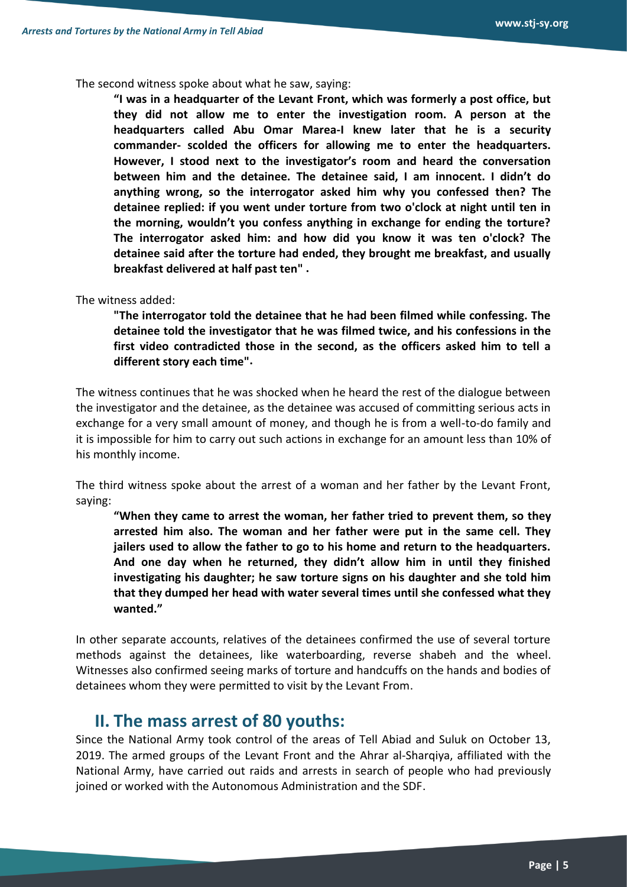The second witness spoke about what he saw, saying:

**"I was in a headquarter of the Levant Front, which was formerly a post office, but they did not allow me to enter the investigation room. A person at the headquarters called Abu Omar Marea-I knew later that he is a security commander- scolded the officers for allowing me to enter the headquarters. However, I stood next to the investigator's room and heard the conversation between him and the detainee. The detainee said, I am innocent. I didn't do anything wrong, so the interrogator asked him why you confessed then? The detainee replied: if you went under torture from two o'clock at night until ten in the morning, wouldn't you confess anything in exchange for ending the torture? The interrogator asked him: and how did you know it was ten o'clock? The detainee said after the torture had ended, they brought me breakfast, and usually breakfast delivered at half past ten" .**

The witness added:

**"The interrogator told the detainee that he had been filmed while confessing. The detainee told the investigator that he was filmed twice, and his confessions in the first video contradicted those in the second, as the officers asked him to tell a different story each time".**

The witness continues that he was shocked when he heard the rest of the dialogue between the investigator and the detainee, as the detainee was accused of committing serious acts in exchange for a very small amount of money, and though he is from a well-to-do family and it is impossible for him to carry out such actions in exchange for an amount less than 10% of his monthly income.

The third witness spoke about the arrest of a woman and her father by the Levant Front, saying:

**"When they came to arrest the woman, her father tried to prevent them, so they arrested him also. The woman and her father were put in the same cell. They jailers used to allow the father to go to his home and return to the headquarters. And one day when he returned, they didn't allow him in until they finished investigating his daughter; he saw torture signs on his daughter and she told him that they dumped her head with water several times until she confessed what they wanted."**

In other separate accounts, relatives of the detainees confirmed the use of several torture methods against the detainees, like waterboarding, reverse shabeh and the wheel. Witnesses also confirmed seeing marks of torture and handcuffs on the hands and bodies of detainees whom they were permitted to visit by the Levant From.

#### **II. The mass arrest of 80 youths:**

Since the National Army took control of the areas of Tell Abiad and Suluk on October 13, 2019. The armed groups of the Levant Front and the Ahrar al-Sharqiya, affiliated with the National Army, have carried out raids and arrests in search of people who had previously joined or worked with the Autonomous Administration and the SDF.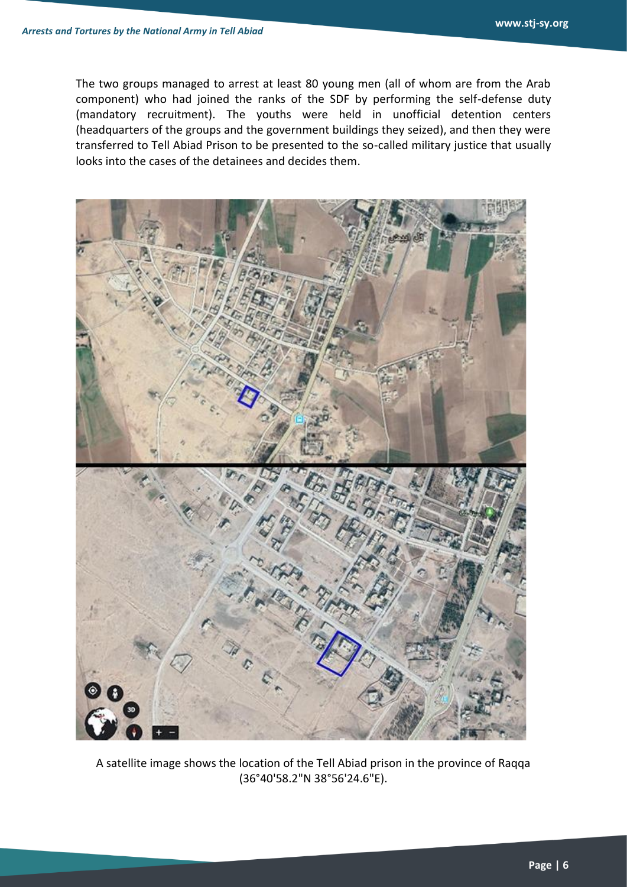The two groups managed to arrest at least 80 young men (all of whom are from the Arab component) who had joined the ranks of the SDF by performing the self-defense duty (mandatory recruitment). The youths were held in unofficial detention centers (headquarters of the groups and the government buildings they seized), and then they were transferred to Tell Abiad Prison to be presented to the so-called military justice that usually looks into the cases of the detainees and decides them.



A satellite image shows the location of the Tell Abiad prison in the province of Raqqa (36°40'58.2"N 38°56'24.6"E).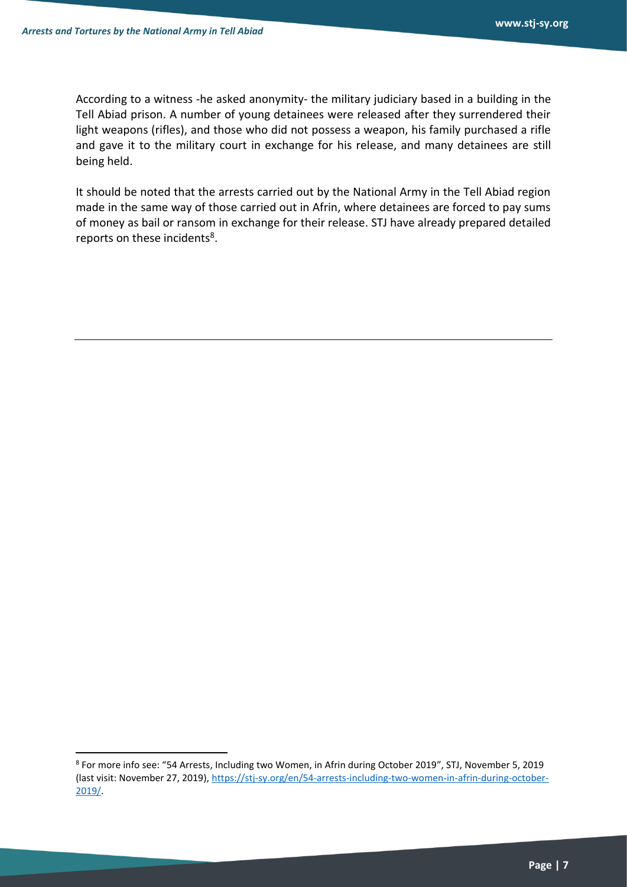According to a witness -he asked anonymity- the military judiciary based in a building in the Tell Abiad prison. A number of young detainees were released after they surrendered their light weapons (rifles), and those who did not possess a weapon, his family purchased a rifle and gave it to the military court in exchange for his release, and many detainees are still being held.

It should be noted that the arrests carried out by the National Army in the Tell Abiad region made in the same way of those carried out in Afrin, where detainees are forced to pay sums of money as bail or ransom in exchange for their release. STJ have already prepared detailed reports on these incidents<sup>8</sup>.

<sup>8</sup> For more info see: "54 Arrests, Including two Women, in Afrin during October 2019", STJ, November 5, 2019 (last visit: November 27, 2019), [https://stj-sy.org/en/54-arrests-including-two-women-in-afrin-during-october-](https://stj-sy.org/en/54-arrests-including-two-women-in-afrin-during-october-2019/)[2019/.](https://stj-sy.org/en/54-arrests-including-two-women-in-afrin-during-october-2019/)